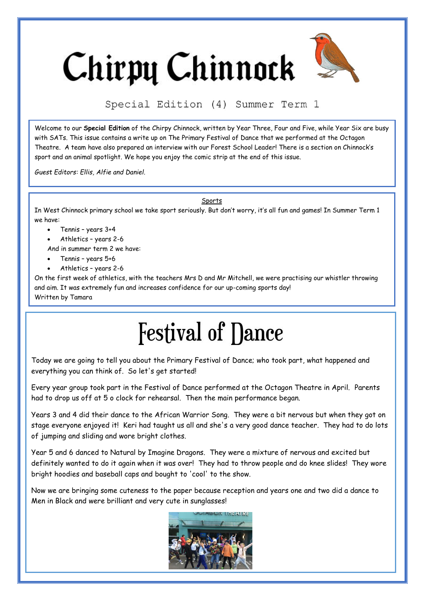# Chirpy Chinnock



Special Edition (4) Summer Term 1

Welcome to our **Special Edition** of the Chirpy Chinnock, written by Year Three, Four and Five, while Year Six are busy with SATs. This issue contains a write up on The Primary Festival of Dance that we performed at the Octagon Theatre. A team have also prepared an interview with our Forest School Leader! There is a section on Chinnock's sport and an animal spotlight. We hope you enjoy the comic strip at the end of this issue.

*Guest Editors: Ellis, Alfie and Daniel.*

**Sports** 

In West Chinnock primary school we take sport seriously. But don't worry, it's all fun and games! In Summer Term 1 we have:

- Tennis years 3+4
- Athletics years 2-6
- And in summer term 2 we have:
- Tennis years 5+6
- Athletics years 2-6

On the first week of athletics, with the teachers Mrs D and Mr Mitchell, we were practising our whistler throwing and aim. It was extremely fun and increases confidence for our up-coming sports day! Written by Tamara

# **Festival of Dance**

Today we are going to tell you about the Primary Festival of Dance; who took part, what happened and everything you can think of. So let's get started!

Every year group took part in the Festival of Dance performed at the Octagon Theatre in April. Parents had to drop us off at 5 o clock for rehearsal. Then the main performance began.

Years 3 and 4 did their dance to the African Warrior Song. They were a bit nervous but when they got on stage everyone enjoyed it! Keri had taught us all and she's a very good dance teacher. They had to do lots of jumping and sliding and wore bright clothes.

Year 5 and 6 danced to Natural by Imagine Dragons. They were a mixture of nervous and excited but definitely wanted to do it again when it was over! They had to throw people and do knee slides! They wore bright hoodies and baseball caps and bought to 'cool' to the show.

Now we are bringing some cuteness to the paper because reception and years one and two did a dance to Men in Black and were brilliant and very cute in sunglasses!

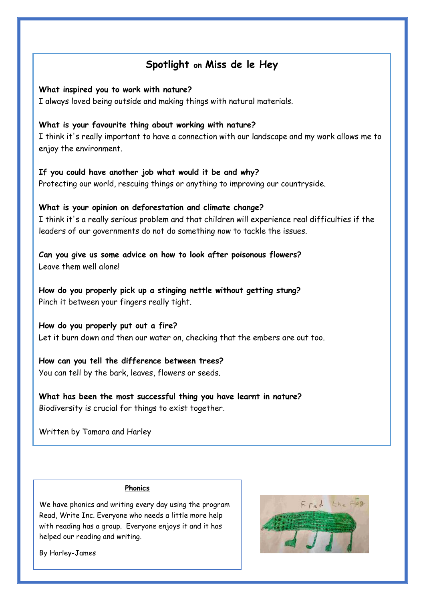### **Spotlight on Miss de le Hey**

### **What inspired you to work with nature?**

I always loved being outside and making things with natural materials.

### **What is your favourite thing about working with nature?**

I think it's really important to have a connection with our landscape and my work allows me to enjoy the environment.

### **If you could have another job what would it be and why?**

Protecting our world, rescuing things or anything to improving our countryside.

### **What is your opinion on deforestation and climate change?**

I think it's a really serious problem and that children will experience real difficulties if the leaders of our governments do not do something now to tackle the issues.

**Can you give us some advice on how to look after poisonous flowers?** Leave them well alone!

**How do you properly pick up a stinging nettle without getting stung?** Pinch it between your fingers really tight.

**How do you properly put out a fire?** Let it burn down and then our water on, checking that the embers are out too.

**How can you tell the difference between trees?** You can tell by the bark, leaves, flowers or seeds.

**What has been the most successful thing you have learnt in nature?** Biodiversity is crucial for things to exist together.

Written by Tamara and Harley

### **Phonics**

We have phonics and writing every day using the program Read, Write Inc. Everyone who needs a little more help with reading has a group. Everyone enjoys it and it has helped our reading and writing.



By Harley-James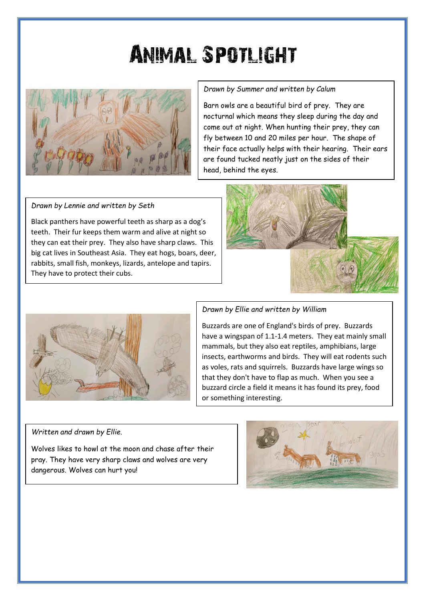## **ANIMAL SPOTLIGHT**



### *Drawn by Summer and written by Calum*

Barn owls are a beautiful bird of prey. They are nocturnal which means they sleep during the day and come out at night. When hunting their prey, they can fly between 10 and 20 miles per hour. The shape of their face actually helps with their hearing. Their ears are found tucked neatly just on the sides of their head, behind the eyes.

#### *Drawn by Lennie and written by Seth*

Black panthers have powerful teeth as sharp as a dog's teeth. Their fur keeps them warm and alive at night so they can eat their prey. They also have sharp claws. This big cat lives in Southeast Asia. They eat hogs, boars, deer, rabbits, small fish, monkeys, lizards, antelope and tapirs. They have to protect their cubs.





### *Drawn by Ellie and written by William*

Buzzards are one of England's birds of prey. Buzzards have a wingspan of 1.1-1.4 meters. They eat mainly small mammals, but they also eat reptiles, amphibians, large insects, earthworms and birds. They will eat rodents such as voles, rats and squirrels. Buzzards have large wings so that they don't have to flap as much. When you see a buzzard circle a field it means it has found its prey, food or something interesting.

#### *Written and drawn by Ellie.*

Wolves likes to howl at the moon and chase after their pray. They have very sharp claws and wolves are very dangerous. Wolves can hurt you!

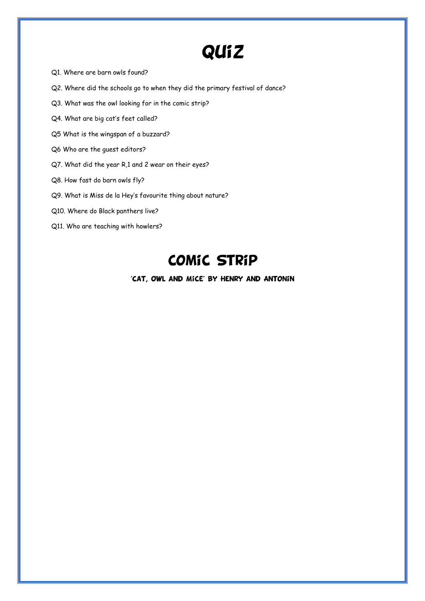### **QUiZ**

- Q1. Where are barn owls found?
- Q2. Where did the schools go to when they did the primary festival of dance?
- Q3. What was the owl looking for in the comic strip?
- Q4. What are big cat's feet called?
- Q5 What is the wingspan of a buzzard?
- Q6 Who are the guest editors?
- Q7. What did the year R,1 and 2 wear on their eyes?
- Q8. How fast do barn owls fly?
- Q9. What is Miss de la Hey's favourite thing about nature?
- Q10. Where do Black panthers live?
- Q11. Who are teaching with howlers?

### **COMIC STRIP**

'CAT, OWL AND MICE' BY HENRY AND ANTONIN